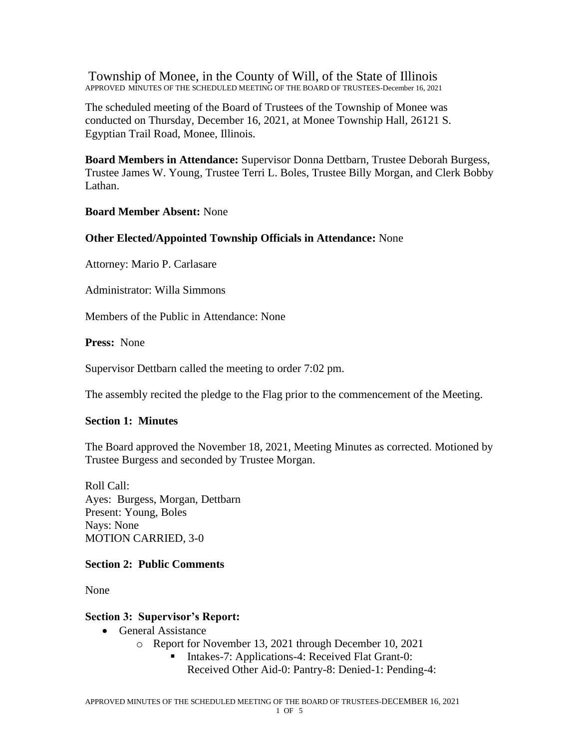Township of Monee, in the County of Will, of the State of Illinois APPROVED MINUTES OF THE SCHEDULED MEETING OF THE BOARD OF TRUSTEES-December 16, 2021

The scheduled meeting of the Board of Trustees of the Township of Monee was conducted on Thursday, December 16, 2021, at Monee Township Hall, 26121 S. Egyptian Trail Road, Monee, Illinois.

**Board Members in Attendance:** Supervisor Donna Dettbarn, Trustee Deborah Burgess, Trustee James W. Young, Trustee Terri L. Boles, Trustee Billy Morgan, and Clerk Bobby Lathan.

**Board Member Absent:** None

# **Other Elected/Appointed Township Officials in Attendance:** None

Attorney: Mario P. Carlasare

Administrator: Willa Simmons

Members of the Public in Attendance: None

**Press:** None

Supervisor Dettbarn called the meeting to order 7:02 pm.

The assembly recited the pledge to the Flag prior to the commencement of the Meeting.

# **Section 1: Minutes**

The Board approved the November 18, 2021, Meeting Minutes as corrected. Motioned by Trustee Burgess and seconded by Trustee Morgan.

Roll Call: Ayes: Burgess, Morgan, Dettbarn Present: Young, Boles Nays: None MOTION CARRIED, 3-0

# **Section 2: Public Comments**

None

# **Section 3: Supervisor's Report:**

- General Assistance
	- o Report for November 13, 2021 through December 10, 2021
		- Intakes-7: Applications-4: Received Flat Grant-0: Received Other Aid-0: Pantry-8: Denied-1: Pending-4: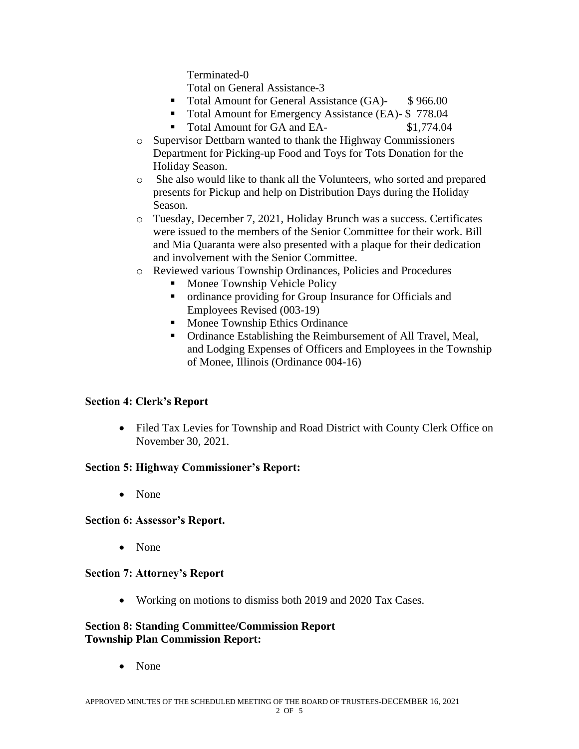Terminated-0

Total on General Assistance-3

- Total Amount for General Assistance (GA)- \$966.00
- Total Amount for Emergency Assistance (EA)- \$778.04
- Total Amount for GA and EA- \$1,774.04
- o Supervisor Dettbarn wanted to thank the Highway Commissioners Department for Picking-up Food and Toys for Tots Donation for the Holiday Season.
- o She also would like to thank all the Volunteers, who sorted and prepared presents for Pickup and help on Distribution Days during the Holiday Season.
- o Tuesday, December 7, 2021, Holiday Brunch was a success. Certificates were issued to the members of the Senior Committee for their work. Bill and Mia Quaranta were also presented with a plaque for their dedication and involvement with the Senior Committee.
- o Reviewed various Township Ordinances, Policies and Procedures
	- Monee Township Vehicle Policy
	- ordinance providing for Group Insurance for Officials and Employees Revised (003-19)
	- Monee Township Ethics Ordinance
	- Ordinance Establishing the Reimbursement of All Travel, Meal, and Lodging Expenses of Officers and Employees in the Township of Monee, Illinois (Ordinance 004-16)

# **Section 4: Clerk's Report**

• Filed Tax Levies for Township and Road District with County Clerk Office on November 30, 2021.

# **Section 5: Highway Commissioner's Report:**

• None

# **Section 6: Assessor's Report.**

• None

# **Section 7: Attorney's Report**

• Working on motions to dismiss both 2019 and 2020 Tax Cases.

# **Section 8: Standing Committee/Commission Report Township Plan Commission Report:**

• None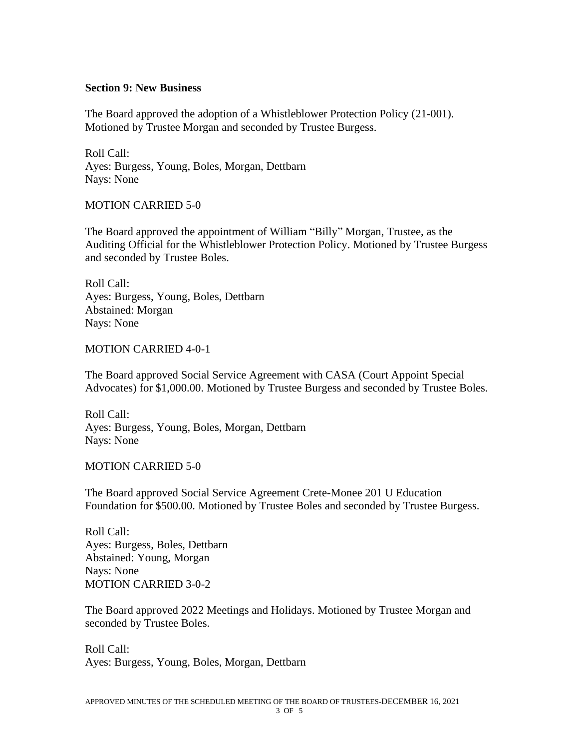### **Section 9: New Business**

The Board approved the adoption of a Whistleblower Protection Policy (21-001). Motioned by Trustee Morgan and seconded by Trustee Burgess.

Roll Call: Ayes: Burgess, Young, Boles, Morgan, Dettbarn Nays: None

### MOTION CARRIED 5-0

The Board approved the appointment of William "Billy" Morgan, Trustee, as the Auditing Official for the Whistleblower Protection Policy. Motioned by Trustee Burgess and seconded by Trustee Boles.

Roll Call: Ayes: Burgess, Young, Boles, Dettbarn Abstained: Morgan Nays: None

### MOTION CARRIED 4-0-1

The Board approved Social Service Agreement with CASA (Court Appoint Special Advocates) for \$1,000.00. Motioned by Trustee Burgess and seconded by Trustee Boles.

Roll Call: Ayes: Burgess, Young, Boles, Morgan, Dettbarn Nays: None

#### MOTION CARRIED 5-0

The Board approved Social Service Agreement Crete-Monee 201 U Education Foundation for \$500.00. Motioned by Trustee Boles and seconded by Trustee Burgess.

Roll Call: Ayes: Burgess, Boles, Dettbarn Abstained: Young, Morgan Nays: None MOTION CARRIED 3-0-2

The Board approved 2022 Meetings and Holidays. Motioned by Trustee Morgan and seconded by Trustee Boles.

Roll Call: Ayes: Burgess, Young, Boles, Morgan, Dettbarn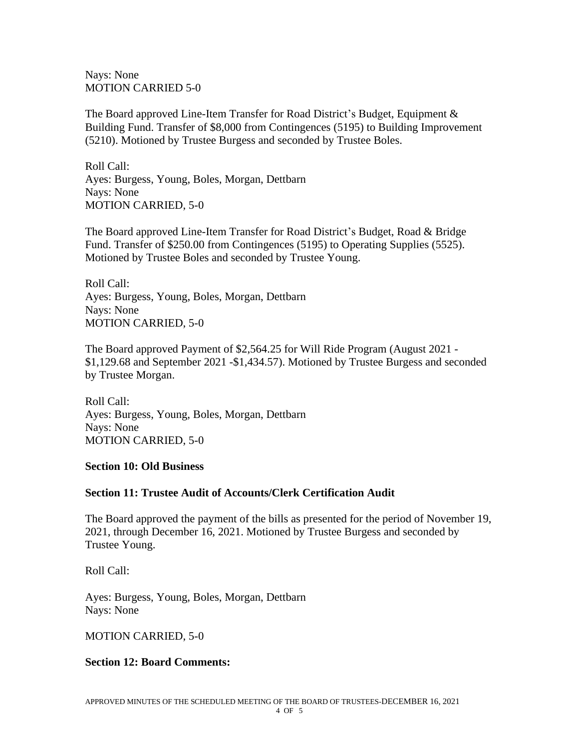Nays: None MOTION CARRIED 5-0

The Board approved Line-Item Transfer for Road District's Budget, Equipment & Building Fund. Transfer of \$8,000 from Contingences (5195) to Building Improvement (5210). Motioned by Trustee Burgess and seconded by Trustee Boles.

Roll Call: Ayes: Burgess, Young, Boles, Morgan, Dettbarn Nays: None MOTION CARRIED, 5-0

The Board approved Line-Item Transfer for Road District's Budget, Road & Bridge Fund. Transfer of \$250.00 from Contingences (5195) to Operating Supplies (5525). Motioned by Trustee Boles and seconded by Trustee Young.

Roll Call: Ayes: Burgess, Young, Boles, Morgan, Dettbarn Nays: None MOTION CARRIED, 5-0

The Board approved Payment of \$2,564.25 for Will Ride Program (August 2021 - \$1,129.68 and September 2021 -\$1,434.57). Motioned by Trustee Burgess and seconded by Trustee Morgan.

Roll Call: Ayes: Burgess, Young, Boles, Morgan, Dettbarn Nays: None MOTION CARRIED, 5-0

#### **Section 10: Old Business**

# **Section 11: Trustee Audit of Accounts/Clerk Certification Audit**

The Board approved the payment of the bills as presented for the period of November 19, 2021, through December 16, 2021. Motioned by Trustee Burgess and seconded by Trustee Young.

Roll Call:

Ayes: Burgess, Young, Boles, Morgan, Dettbarn Nays: None

#### MOTION CARRIED, 5-0

# **Section 12: Board Comments:**